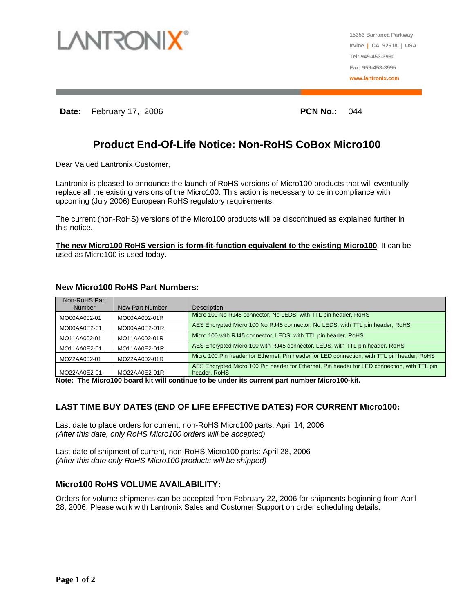

**15353 Barranca Parkway Irvine | CA 92618 | USA Tel: 949-453-3990 Fax: 959-453-3995 www.lantronix.com**

**Date:** February 17, 2006 **PCN No.: 044** 

# **Product End-Of-Life Notice: Non-RoHS CoBox Micro100**

Dear Valued Lantronix Customer,

Lantronix is pleased to announce the launch of RoHS versions of Micro100 products that will eventually replace all the existing versions of the Micro100. This action is necessary to be in compliance with upcoming (July 2006) European RoHS regulatory requirements.

The current (non-RoHS) versions of the Micro100 products will be discontinued as explained further in this notice.

**The new Micro100 RoHS version is form-fit-function equivalent to the existing Micro100**. It can be used as Micro100 is used today.

| Non-RoHS Part |                 |                                                                                                              |
|---------------|-----------------|--------------------------------------------------------------------------------------------------------------|
| <b>Number</b> | New Part Number | <b>Description</b>                                                                                           |
| MO00AA002-01  | MO00AA002-01R   | Micro 100 No RJ45 connector, No LEDS, with TTL pin header, RoHS                                              |
| MO00AA0E2-01  | MO00AA0E2-01R   | AES Encrypted Micro 100 No RJ45 connector, No LEDS, with TTL pin header, RoHS                                |
| MO11AA002-01  | MO11AA002-01R   | Micro 100 with RJ45 connector, LEDS, with TTL pin header, RoHS                                               |
| MO11AA0E2-01  | MO11AA0E2-01R   | AES Encrypted Micro 100 with RJ45 connector, LEDS, with TTL pin header, RoHS                                 |
| MO22AA002-01  | MO22AA002-01R   | Micro 100 Pin header for Ethernet, Pin header for LED connection, with TTL pin header, RoHS                  |
| MO22AA0E2-01  | MO22AA0E2-01R   | AES Encrypted Micro 100 Pin header for Ethernet, Pin header for LED connection, with TTL pin<br>header, RoHS |

### **New Micro100 RoHS Part Numbers:**

**Note: The Micro100 board kit will continue to be under its current part number Micro100-kit.** 

## **LAST TIME BUY DATES (END OF LIFE EFFECTIVE DATES) FOR CURRENT Micro100:**

Last date to place orders for current, non-RoHS Micro100 parts: April 14, 2006 *(After this date, only RoHS Micro100 orders will be accepted)* 

Last date of shipment of current, non-RoHS Micro100 parts: April 28, 2006 *(After this date only RoHS Micro100 products will be shipped)* 

## **Micro100 RoHS VOLUME AVAILABILITY:**

Orders for volume shipments can be accepted from February 22, 2006 for shipments beginning from April 28, 2006. Please work with Lantronix Sales and Customer Support on order scheduling details.